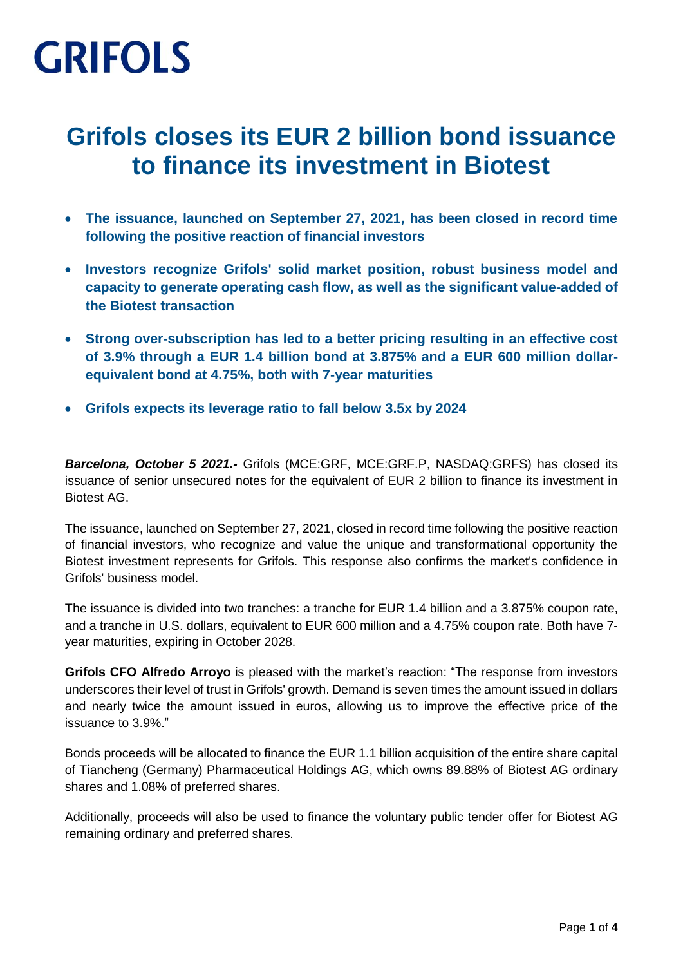### **Grifols closes its EUR 2 billion bond issuance to finance its investment in Biotest**

- **The issuance, launched on September 27, 2021, has been closed in record time following the positive reaction of financial investors**
- **Investors recognize Grifols' solid market position, robust business model and capacity to generate operating cash flow, as well as the significant value-added of the Biotest transaction**
- **Strong over-subscription has led to a better pricing resulting in an effective cost of 3.9% through a EUR 1.4 billion bond at 3.875% and a EUR 600 million dollarequivalent bond at 4.75%, both with 7-year maturities**
- **Grifols expects its leverage ratio to fall below 3.5x by 2024**

*Barcelona, October 5 2021.-* Grifols (MCE:GRF, MCE:GRF.P, NASDAQ:GRFS) has closed its issuance of senior unsecured notes for the equivalent of EUR 2 billion to finance its investment in Biotest AG.

The issuance, launched on September 27, 2021, closed in record time following the positive reaction of financial investors, who recognize and value the unique and transformational opportunity the Biotest investment represents for Grifols. This response also confirms the market's confidence in Grifols' business model.

The issuance is divided into two tranches: a tranche for EUR 1.4 billion and a 3.875% coupon rate, and a tranche in U.S. dollars, equivalent to EUR 600 million and a 4.75% coupon rate. Both have 7 year maturities, expiring in October 2028.

**Grifols CFO Alfredo Arroyo** is pleased with the market's reaction: "The response from investors underscores their level of trust in Grifols' growth. Demand is seven times the amount issued in dollars and nearly twice the amount issued in euros, allowing us to improve the effective price of the issuance to 3.9%."

Bonds proceeds will be allocated to finance the EUR 1.1 billion acquisition of the entire share capital of Tiancheng (Germany) Pharmaceutical Holdings AG, which owns 89.88% of Biotest AG ordinary shares and 1.08% of preferred shares.

Additionally, proceeds will also be used to finance the voluntary public tender offer for Biotest AG remaining ordinary and preferred shares.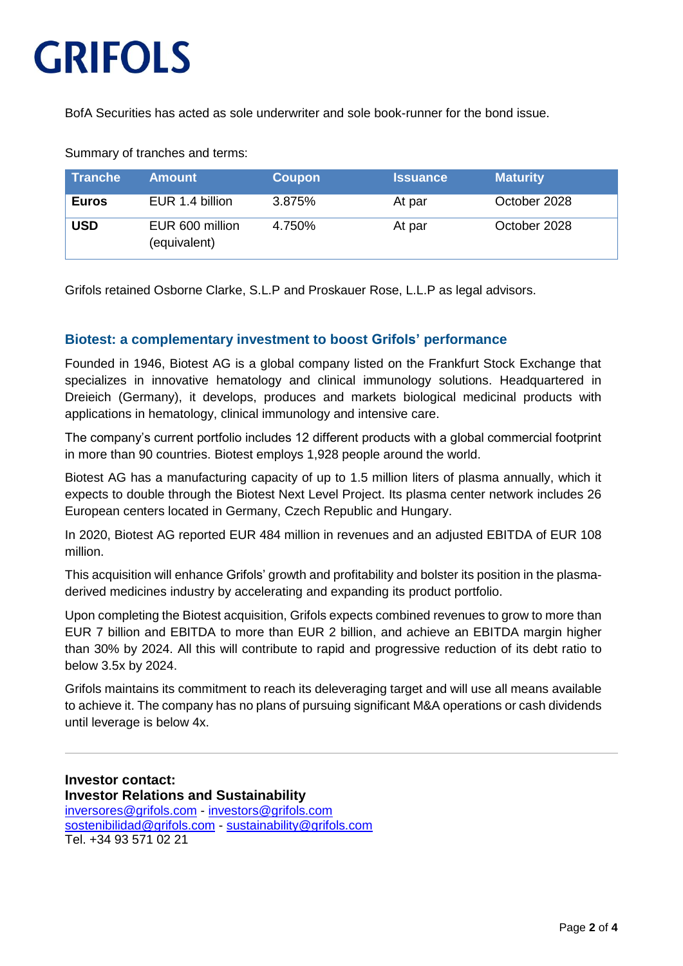BofA Securities has acted as sole underwriter and sole book-runner for the bond issue.

| ∣ Tranche    | <b>Amount</b>                   | <b>Coupon</b> | <b>Issuance</b> | <b>Maturity</b> |
|--------------|---------------------------------|---------------|-----------------|-----------------|
| <b>Euros</b> | EUR 1.4 billion                 | 3.875%        | At par          | October 2028    |
| <b>USD</b>   | EUR 600 million<br>(equivalent) | 4.750%        | At par          | October 2028    |

Summary of tranches and terms:

Grifols retained Osborne Clarke, S.L.P and Proskauer Rose, L.L.P as legal advisors.

#### **Biotest: a complementary investment to boost Grifols' performance**

Founded in 1946, Biotest AG is a global company listed on the Frankfurt Stock Exchange that specializes in innovative hematology and clinical immunology solutions. Headquartered in Dreieich (Germany), it develops, produces and markets biological medicinal products with applications in hematology, clinical immunology and intensive care.

The company's current portfolio includes 12 different products with a global commercial footprint in more than 90 countries. Biotest employs 1,928 people around the world.

Biotest AG has a manufacturing capacity of up to 1.5 million liters of plasma annually, which it expects to double through the Biotest Next Level Project. Its plasma center network includes 26 European centers located in Germany, Czech Republic and Hungary.

In 2020, Biotest AG reported EUR 484 million in revenues and an adjusted EBITDA of EUR 108 million.

This acquisition will enhance Grifols' growth and profitability and bolster its position in the plasmaderived medicines industry by accelerating and expanding its product portfolio.

Upon completing the Biotest acquisition, Grifols expects combined revenues to grow to more than EUR 7 billion and EBITDA to more than EUR 2 billion, and achieve an EBITDA margin higher than 30% by 2024. All this will contribute to rapid and progressive reduction of its debt ratio to below 3.5x by 2024.

Grifols maintains its commitment to reach its deleveraging target and will use all means available to achieve it. The company has no plans of pursuing significant M&A operations or cash dividends until leverage is below 4x.

**Investor contact: Investor Relations and Sustainability** [inversores@grifols.com](mailto:inversores@grifols.com) - [investors@grifols.com](mailto:investors@grifols.com) [sostenibilidad@grifols.com](mailto:sostenibilidad@grifols.com) - [sustainability@grifols.com](mailto:sustainability@grifols.com) Tel. +34 93 571 02 21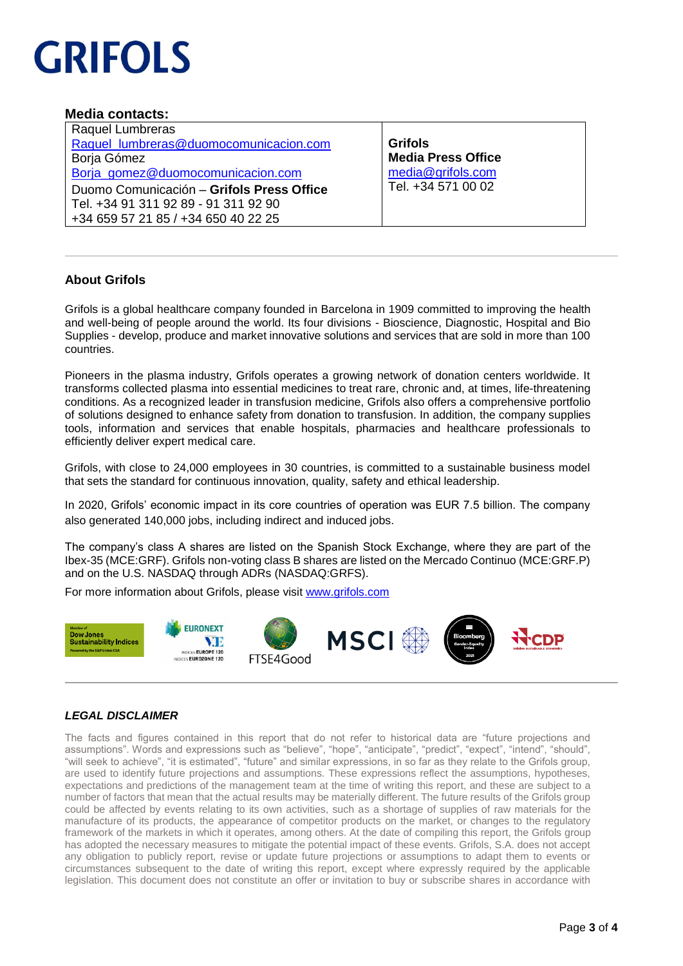#### **Media contacts:**

| Raquel Lumbreras                          |  |  |  |  |
|-------------------------------------------|--|--|--|--|
| Raquel_lumbreras@duomocomunicacion.com    |  |  |  |  |
| Borja Gómez                               |  |  |  |  |
| Borja gomez@duomocomunicacion.com         |  |  |  |  |
| Duomo Comunicación - Grifols Press Office |  |  |  |  |
| Tel. +34 91 311 92 89 - 91 311 92 90      |  |  |  |  |
| +34 659 57 21 85 / +34 650 40 22 25       |  |  |  |  |

**Grifols Media Press Office** [media@grifols.com](mailto:media@grifols.com) Tel. +34 571 00 02

#### **About Grifols**

Grifols is a global healthcare company founded in Barcelona in 1909 committed to improving the health and well-being of people around the world. Its four divisions - Bioscience, Diagnostic, Hospital and Bio Supplies - develop, produce and market innovative solutions and services that are sold in more than 100 countries.

Pioneers in the plasma industry, Grifols operates a growing network of donation centers worldwide. It transforms collected plasma into essential medicines to treat rare, chronic and, at times, life-threatening conditions. As a recognized leader in transfusion medicine, Grifols also offers a comprehensive portfolio of solutions designed to enhance safety from donation to transfusion. In addition, the company supplies tools, information and services that enable hospitals, pharmacies and healthcare professionals to efficiently deliver expert medical care.

Grifols, with close to 24,000 employees in 30 countries, is committed to a sustainable business model that sets the standard for continuous innovation, quality, safety and ethical leadership.

In 2020, Grifols' economic impact in its core countries of operation was EUR 7.5 billion. The company also generated 140,000 jobs, including indirect and induced jobs.

The company's class A shares are listed on the Spanish Stock Exchange, where they are part of the Ibex-35 (MCE:GRF). Grifols non-voting class B shares are listed on the Mercado Continuo (MCE:GRF.P) and on the U.S. NASDAQ through ADRs (NASDAQ:GRFS).

For more information about Grifols, please visit [www.grifols.com](http://www.grifols.com/)



#### *LEGAL DISCLAIMER*

The facts and figures contained in this report that do not refer to historical data are "future projections and assumptions". Words and expressions such as "believe", "hope", "anticipate", "predict", "expect", "intend", "should", "will seek to achieve", "it is estimated", "future" and similar expressions, in so far as they relate to the Grifols group, are used to identify future projections and assumptions. These expressions reflect the assumptions, hypotheses, expectations and predictions of the management team at the time of writing this report, and these are subject to a number of factors that mean that the actual results may be materially different. The future results of the Grifols group could be affected by events relating to its own activities, such as a shortage of supplies of raw materials for the manufacture of its products, the appearance of competitor products on the market, or changes to the regulatory framework of the markets in which it operates, among others. At the date of compiling this report, the Grifols group has adopted the necessary measures to mitigate the potential impact of these events. Grifols, S.A. does not accept any obligation to publicly report, revise or update future projections or assumptions to adapt them to events or circumstances subsequent to the date of writing this report, except where expressly required by the applicable legislation. This document does not constitute an offer or invitation to buy or subscribe shares in accordance with